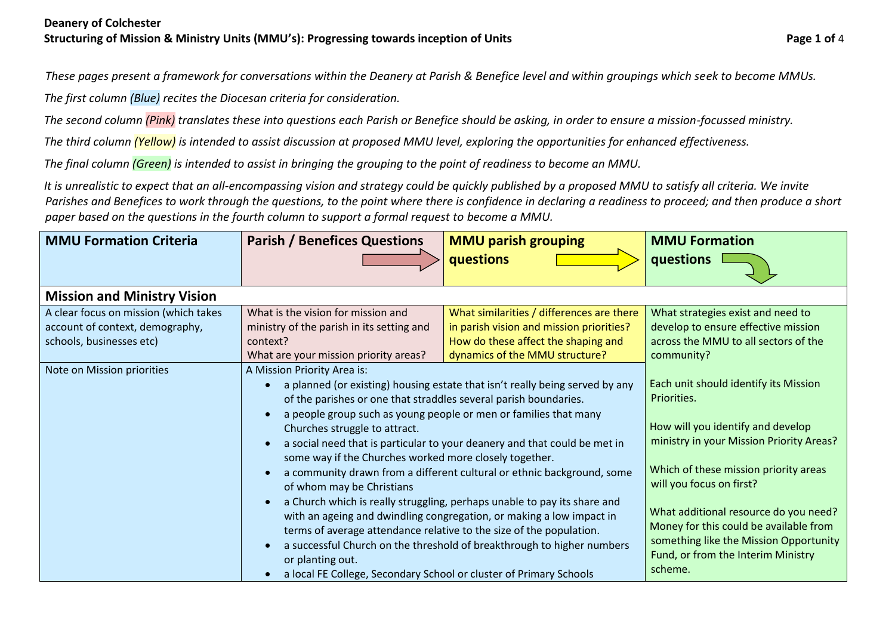*These pages present a framework for conversations within the Deanery at Parish & Benefice level and within groupings which seek to become MMUs. The first column (Blue) recites the Diocesan criteria for consideration.*

*The second column (Pink) translates these into questions each Parish or Benefice should be asking, in order to ensure a mission-focussed ministry.*

*The third column (Yellow) is intended to assist discussion at proposed MMU level, exploring the opportunities for enhanced effectiveness.*

*The final column (Green) is intended to assist in bringing the grouping to the point of readiness to become an MMU.*

It is unrealistic to expect that an all-encompassing vision and strategy could be quickly published by a proposed MMU to satisfy all criteria. We invite *Parishes and Benefices to work through the questions, to the point where there is confidence in declaring a readiness to proceed; and then produce a short paper based on the questions in the fourth column to support a formal request to become a MMU.*

| <b>MMU Formation Criteria</b>                                                                        | <b>Parish / Benefices Questions</b>                                                                                                                                                                                                                                                                                                                                                                                                                                                                                                                                                                                                                                                                                                                                                                                                                                                                                               | <b>MMU parish grouping</b><br>questions                                                                                                                        | <b>MMU Formation</b><br>questions                                                                                                                                                                                                                                                                                                                                                        |  |  |
|------------------------------------------------------------------------------------------------------|-----------------------------------------------------------------------------------------------------------------------------------------------------------------------------------------------------------------------------------------------------------------------------------------------------------------------------------------------------------------------------------------------------------------------------------------------------------------------------------------------------------------------------------------------------------------------------------------------------------------------------------------------------------------------------------------------------------------------------------------------------------------------------------------------------------------------------------------------------------------------------------------------------------------------------------|----------------------------------------------------------------------------------------------------------------------------------------------------------------|------------------------------------------------------------------------------------------------------------------------------------------------------------------------------------------------------------------------------------------------------------------------------------------------------------------------------------------------------------------------------------------|--|--|
| <b>Mission and Ministry Vision</b>                                                                   |                                                                                                                                                                                                                                                                                                                                                                                                                                                                                                                                                                                                                                                                                                                                                                                                                                                                                                                                   |                                                                                                                                                                |                                                                                                                                                                                                                                                                                                                                                                                          |  |  |
| A clear focus on mission (which takes<br>account of context, demography,<br>schools, businesses etc) | What is the vision for mission and<br>ministry of the parish in its setting and<br>context?<br>What are your mission priority areas?                                                                                                                                                                                                                                                                                                                                                                                                                                                                                                                                                                                                                                                                                                                                                                                              | What similarities / differences are there<br>in parish vision and mission priorities?<br>How do these affect the shaping and<br>dynamics of the MMU structure? | What strategies exist and need to<br>develop to ensure effective mission<br>across the MMU to all sectors of the<br>community?                                                                                                                                                                                                                                                           |  |  |
| Note on Mission priorities                                                                           | A Mission Priority Area is:<br>a planned (or existing) housing estate that isn't really being served by any<br>of the parishes or one that straddles several parish boundaries.<br>a people group such as young people or men or families that many<br>Churches struggle to attract.<br>a social need that is particular to your deanery and that could be met in<br>some way if the Churches worked more closely together.<br>a community drawn from a different cultural or ethnic background, some<br>of whom may be Christians<br>a Church which is really struggling, perhaps unable to pay its share and<br>with an ageing and dwindling congregation, or making a low impact in<br>terms of average attendance relative to the size of the population.<br>a successful Church on the threshold of breakthrough to higher numbers<br>or planting out.<br>a local FE College, Secondary School or cluster of Primary Schools |                                                                                                                                                                | Each unit should identify its Mission<br>Priorities.<br>How will you identify and develop<br>ministry in your Mission Priority Areas?<br>Which of these mission priority areas<br>will you focus on first?<br>What additional resource do you need?<br>Money for this could be available from<br>something like the Mission Opportunity<br>Fund, or from the Interim Ministry<br>scheme. |  |  |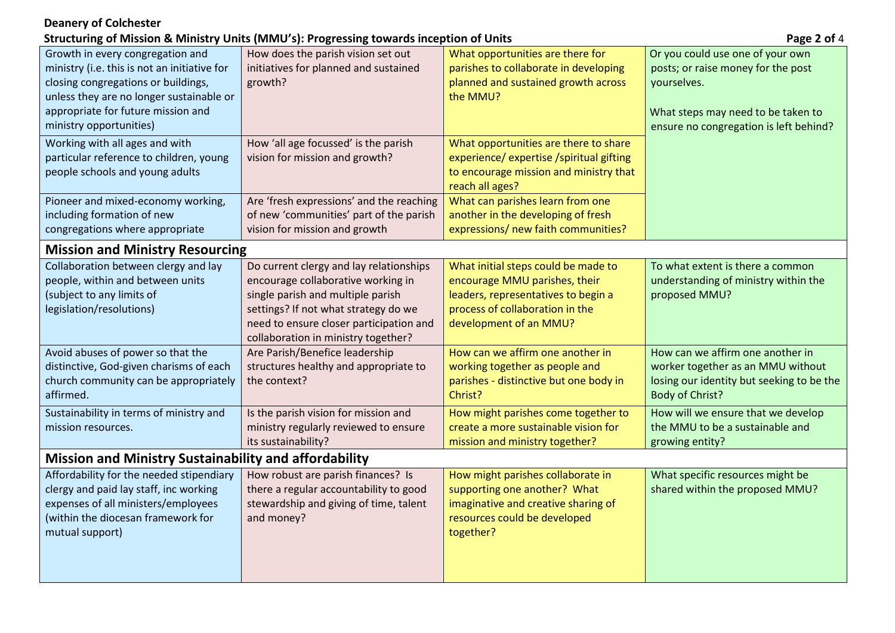# **Deanery of Colchester**

### **Structuring of Mission & Ministry Units (MMU's): Progressing towards inception of Units Page 2 of** 4

| Growth in every congregation and                      | How does the parish vision set out       | What opportunities are there for         | Or you could use one of your own          |  |  |
|-------------------------------------------------------|------------------------------------------|------------------------------------------|-------------------------------------------|--|--|
| ministry (i.e. this is not an initiative for          | initiatives for planned and sustained    | parishes to collaborate in developing    | posts; or raise money for the post        |  |  |
| closing congregations or buildings,                   | growth?                                  | planned and sustained growth across      | yourselves.                               |  |  |
| unless they are no longer sustainable or              |                                          | the MMU?                                 |                                           |  |  |
| appropriate for future mission and                    |                                          |                                          | What steps may need to be taken to        |  |  |
| ministry opportunities)                               |                                          |                                          | ensure no congregation is left behind?    |  |  |
|                                                       |                                          |                                          |                                           |  |  |
| Working with all ages and with                        | How 'all age focussed' is the parish     | What opportunities are there to share    |                                           |  |  |
| particular reference to children, young               | vision for mission and growth?           | experience/ expertise /spiritual gifting |                                           |  |  |
| people schools and young adults                       |                                          | to encourage mission and ministry that   |                                           |  |  |
|                                                       |                                          | reach all ages?                          |                                           |  |  |
| Pioneer and mixed-economy working,                    | Are 'fresh expressions' and the reaching | What can parishes learn from one         |                                           |  |  |
| including formation of new                            | of new 'communities' part of the parish  | another in the developing of fresh       |                                           |  |  |
| congregations where appropriate                       | vision for mission and growth            | expressions/ new faith communities?      |                                           |  |  |
| <b>Mission and Ministry Resourcing</b>                |                                          |                                          |                                           |  |  |
| Collaboration between clergy and lay                  | Do current clergy and lay relationships  | What initial steps could be made to      | To what extent is there a common          |  |  |
| people, within and between units                      | encourage collaborative working in       | encourage MMU parishes, their            | understanding of ministry within the      |  |  |
|                                                       |                                          |                                          |                                           |  |  |
| (subject to any limits of                             | single parish and multiple parish        | leaders, representatives to begin a      | proposed MMU?                             |  |  |
| legislation/resolutions)                              | settings? If not what strategy do we     | process of collaboration in the          |                                           |  |  |
|                                                       | need to ensure closer participation and  | development of an MMU?                   |                                           |  |  |
|                                                       | collaboration in ministry together?      |                                          |                                           |  |  |
| Avoid abuses of power so that the                     | Are Parish/Benefice leadership           | How can we affirm one another in         | How can we affirm one another in          |  |  |
| distinctive, God-given charisms of each               | structures healthy and appropriate to    | working together as people and           | worker together as an MMU without         |  |  |
| church community can be appropriately                 | the context?                             | parishes - distinctive but one body in   | losing our identity but seeking to be the |  |  |
| affirmed.                                             |                                          | Christ?                                  | <b>Body of Christ?</b>                    |  |  |
| Sustainability in terms of ministry and               | Is the parish vision for mission and     | How might parishes come together to      | How will we ensure that we develop        |  |  |
| mission resources.                                    | ministry regularly reviewed to ensure    | create a more sustainable vision for     | the MMU to be a sustainable and           |  |  |
|                                                       | its sustainability?                      | mission and ministry together?           | growing entity?                           |  |  |
| Mission and Ministry Sustainability and affordability |                                          |                                          |                                           |  |  |
| Affordability for the needed stipendiary              | How robust are parish finances? Is       | How might parishes collaborate in        | What specific resources might be          |  |  |
| clergy and paid lay staff, inc working                | there a regular accountability to good   | supporting one another? What             | shared within the proposed MMU?           |  |  |
| expenses of all ministers/employees                   | stewardship and giving of time, talent   | imaginative and creative sharing of      |                                           |  |  |
| (within the diocesan framework for                    | and money?                               | resources could be developed             |                                           |  |  |
| mutual support)                                       |                                          | together?                                |                                           |  |  |
|                                                       |                                          |                                          |                                           |  |  |
|                                                       |                                          |                                          |                                           |  |  |
|                                                       |                                          |                                          |                                           |  |  |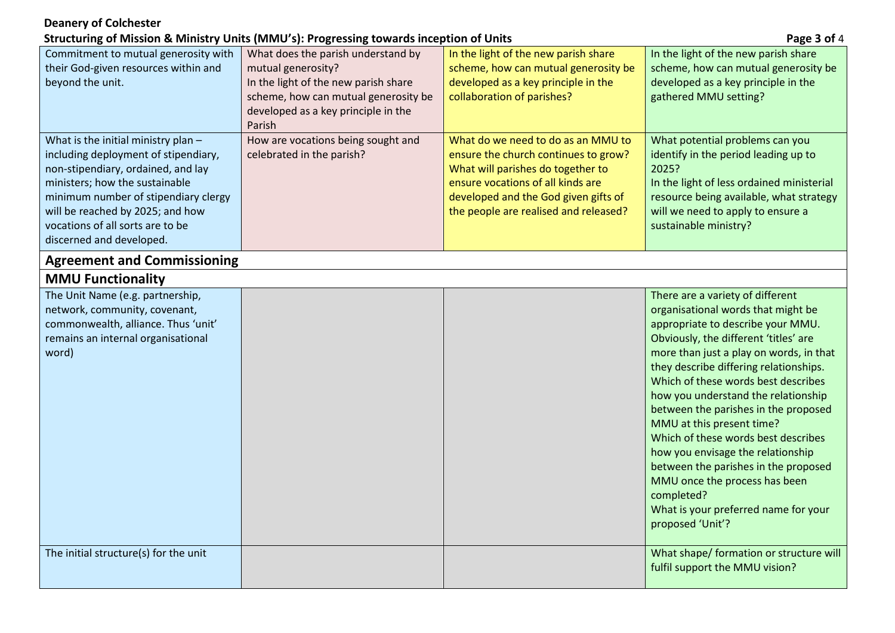### **Deanery of Colchester**

## **Structuring of Mission & Ministry Units (MMU's): Progressing towards inception of Units Page 3 of** 4

| Commitment to mutual generosity with<br>their God-given resources within and<br>beyond the unit.                                                                                                                                                                                                  | What does the parish understand by<br>mutual generosity?<br>In the light of the new parish share | In the light of the new parish share<br>scheme, how can mutual generosity be<br>developed as a key principle in the                                                                                                                   | In the light of the new parish share<br>scheme, how can mutual generosity be<br>developed as a key principle in the                                                                                                                                                                                                                                                                                                                                                                                                                                                                                                         |
|---------------------------------------------------------------------------------------------------------------------------------------------------------------------------------------------------------------------------------------------------------------------------------------------------|--------------------------------------------------------------------------------------------------|---------------------------------------------------------------------------------------------------------------------------------------------------------------------------------------------------------------------------------------|-----------------------------------------------------------------------------------------------------------------------------------------------------------------------------------------------------------------------------------------------------------------------------------------------------------------------------------------------------------------------------------------------------------------------------------------------------------------------------------------------------------------------------------------------------------------------------------------------------------------------------|
|                                                                                                                                                                                                                                                                                                   | scheme, how can mutual generosity be                                                             | collaboration of parishes?                                                                                                                                                                                                            | gathered MMU setting?                                                                                                                                                                                                                                                                                                                                                                                                                                                                                                                                                                                                       |
|                                                                                                                                                                                                                                                                                                   | developed as a key principle in the<br>Parish                                                    |                                                                                                                                                                                                                                       |                                                                                                                                                                                                                                                                                                                                                                                                                                                                                                                                                                                                                             |
| What is the initial ministry plan $-$<br>including deployment of stipendiary,<br>non-stipendiary, ordained, and lay<br>ministers; how the sustainable<br>minimum number of stipendiary clergy<br>will be reached by 2025; and how<br>vocations of all sorts are to be<br>discerned and developed. | How are vocations being sought and<br>celebrated in the parish?                                  | What do we need to do as an MMU to<br>ensure the church continues to grow?<br>What will parishes do together to<br>ensure vocations of all kinds are<br>developed and the God given gifts of<br>the people are realised and released? | What potential problems can you<br>identify in the period leading up to<br>2025?<br>In the light of less ordained ministerial<br>resource being available, what strategy<br>will we need to apply to ensure a<br>sustainable ministry?                                                                                                                                                                                                                                                                                                                                                                                      |
| <b>Agreement and Commissioning</b>                                                                                                                                                                                                                                                                |                                                                                                  |                                                                                                                                                                                                                                       |                                                                                                                                                                                                                                                                                                                                                                                                                                                                                                                                                                                                                             |
| <b>MMU Functionality</b>                                                                                                                                                                                                                                                                          |                                                                                                  |                                                                                                                                                                                                                                       |                                                                                                                                                                                                                                                                                                                                                                                                                                                                                                                                                                                                                             |
| The Unit Name (e.g. partnership,<br>network, community, covenant,<br>commonwealth, alliance. Thus 'unit'<br>remains an internal organisational<br>word)                                                                                                                                           |                                                                                                  |                                                                                                                                                                                                                                       | There are a variety of different<br>organisational words that might be<br>appropriate to describe your MMU.<br>Obviously, the different 'titles' are<br>more than just a play on words, in that<br>they describe differing relationships.<br>Which of these words best describes<br>how you understand the relationship<br>between the parishes in the proposed<br>MMU at this present time?<br>Which of these words best describes<br>how you envisage the relationship<br>between the parishes in the proposed<br>MMU once the process has been<br>completed?<br>What is your preferred name for your<br>proposed 'Unit'? |
| The initial structure(s) for the unit                                                                                                                                                                                                                                                             |                                                                                                  |                                                                                                                                                                                                                                       | What shape/ formation or structure will                                                                                                                                                                                                                                                                                                                                                                                                                                                                                                                                                                                     |
|                                                                                                                                                                                                                                                                                                   |                                                                                                  |                                                                                                                                                                                                                                       | fulfil support the MMU vision?                                                                                                                                                                                                                                                                                                                                                                                                                                                                                                                                                                                              |